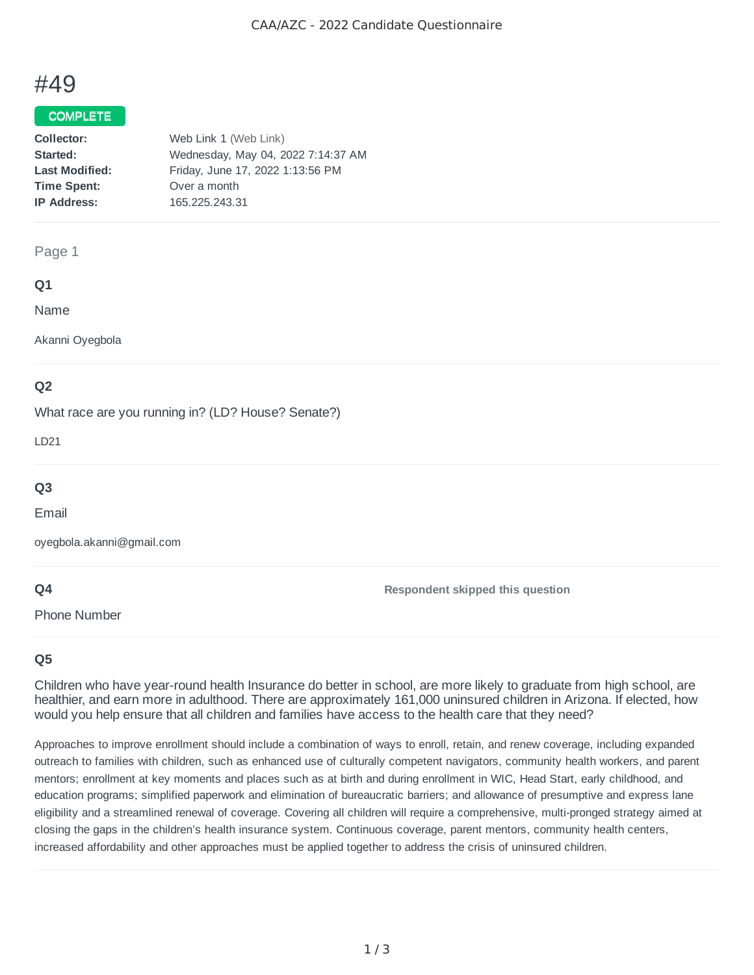# #49

#### COMPLETE

| Collector:            | Web Link 1 (Web Link)              |
|-----------------------|------------------------------------|
| Started:              | Wednesday, May 04, 2022 7:14:37 AM |
| <b>Last Modified:</b> | Friday, June 17, 2022 1:13:56 PM   |
| <b>Time Spent:</b>    | Over a month                       |
| <b>IP Address:</b>    | 165.225.243.31                     |
|                       |                                    |

#### Page 1

#### **Q1**

Name

Akanni Oyegbola

## **Q2**

What race are you running in? (LD? House? Senate?)

LD21

# **Q3**

Email

oyegbola.akanni@gmail.com

## **Q4**

Phone Number

**Respondent skipped this question**

## **Q5**

Children who have year-round health Insurance do better in school, are more likely to graduate from high school, are healthier, and earn more in adulthood. There are approximately 161,000 uninsured children in Arizona. If elected, how would you help ensure that all children and families have access to the health care that they need?

Approaches to improve enrollment should include a combination of ways to enroll, retain, and renew coverage, including expanded outreach to families with children, such as enhanced use of culturally competent navigators, community health workers, and parent mentors; enrollment at key moments and places such as at birth and during enrollment in WIC, Head Start, early childhood, and education programs; simplified paperwork and elimination of bureaucratic barriers; and allowance of presumptive and express lane eligibility and a streamlined renewal of coverage. Covering all children will require a comprehensive, multi-pronged strategy aimed at closing the gaps in the children's health insurance system. Continuous coverage, parent mentors, community health centers, increased affordability and other approaches must be applied together to address the crisis of uninsured children.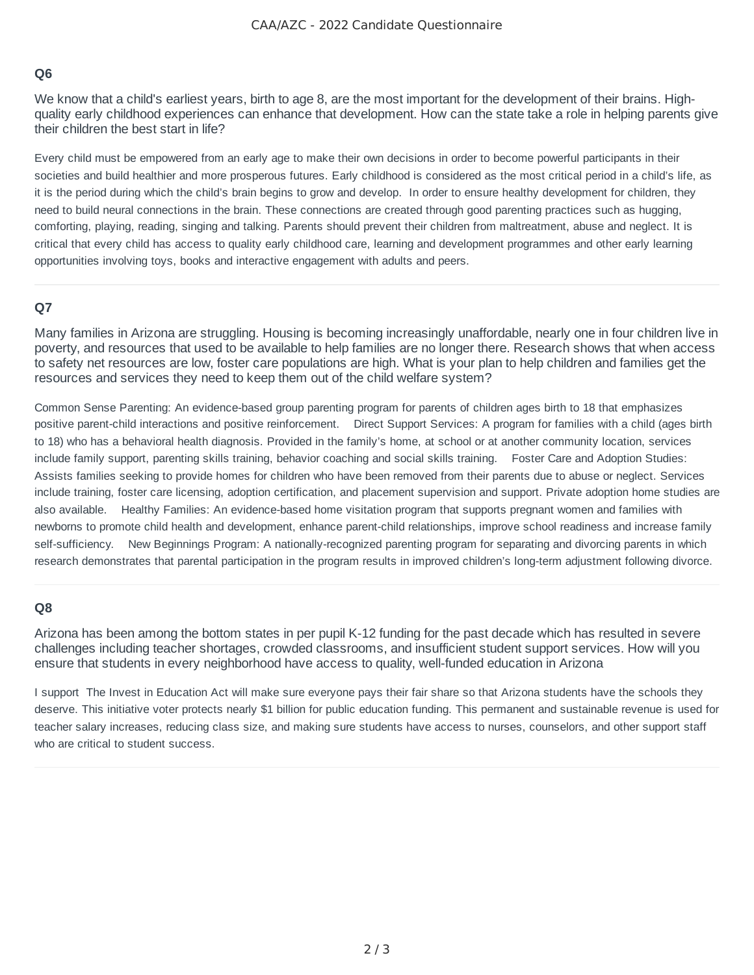#### **Q6**

We know that a child's earliest years, birth to age 8, are the most important for the development of their brains. Highquality early childhood experiences can enhance that development. How can the state take a role in helping parents give their children the best start in life?

Every child must be empowered from an early age to make their own decisions in order to become powerful participants in their societies and build healthier and more prosperous futures. Early childhood is considered as the most critical period in a child's life, as it is the period during which the child's brain begins to grow and develop. In order to ensure healthy development for children, they need to build neural connections in the brain. These connections are created through good parenting practices such as hugging, comforting, playing, reading, singing and talking. Parents should prevent their children from maltreatment, abuse and neglect. It is critical that every child has access to quality early childhood care, learning and development programmes and other early learning opportunities involving toys, books and interactive engagement with adults and peers.

#### **Q7**

Many families in Arizona are struggling. Housing is becoming increasingly unaffordable, nearly one in four children live in poverty, and resources that used to be available to help families are no longer there. Research shows that when access to safety net resources are low, foster care populations are high. What is your plan to help children and families get the resources and services they need to keep them out of the child welfare system?

Common Sense Parenting: An evidence-based group parenting program for parents of children ages birth to 18 that emphasizes positive parent-child interactions and positive reinforcement. Direct Support Services: A program for families with a child (ages birth to 18) who has a behavioral health diagnosis. Provided in the family's home, at school or at another community location, services include family support, parenting skills training, behavior coaching and social skills training. Foster Care and Adoption Studies: Assists families seeking to provide homes for children who have been removed from their parents due to abuse or neglect. Services include training, foster care licensing, adoption certification, and placement supervision and support. Private adoption home studies are also available. Healthy Families: An evidence-based home visitation program that supports pregnant women and families with newborns to promote child health and development, enhance parent-child relationships, improve school readiness and increase family self-sufficiency. New Beginnings Program: A nationally-recognized parenting program for separating and divorcing parents in which research demonstrates that parental participation in the program results in improved children's long-term adjustment following divorce.

#### **Q8**

Arizona has been among the bottom states in per pupil K-12 funding for the past decade which has resulted in severe challenges including teacher shortages, crowded classrooms, and insufficient student support services. How will you ensure that students in every neighborhood have access to quality, well-funded education in Arizona

I support The Invest in Education Act will make sure everyone pays their fair share so that Arizona students have the schools they deserve. This initiative voter protects nearly \$1 billion for public education funding. This permanent and sustainable revenue is used for teacher salary increases, reducing class size, and making sure students have access to nurses, counselors, and other support staff who are critical to student success.